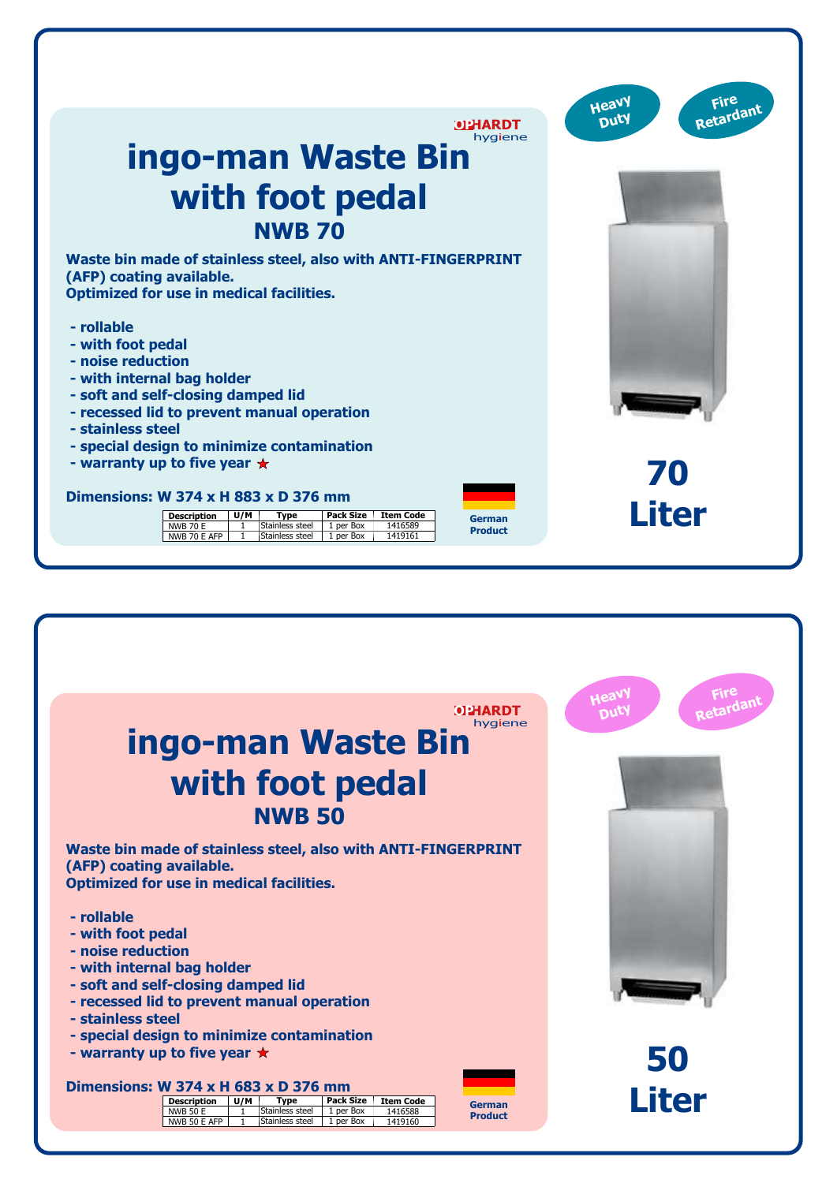| <b>OPHARDT</b><br>hygiene<br>ingo-man Waste Bin                                                                                                                                                                                                                                                                                                                              | Fire<br>Heavy<br>Retardant<br>Duty |
|------------------------------------------------------------------------------------------------------------------------------------------------------------------------------------------------------------------------------------------------------------------------------------------------------------------------------------------------------------------------------|------------------------------------|
| with foot pedal<br><b>NWB 70</b>                                                                                                                                                                                                                                                                                                                                             |                                    |
| Waste bin made of stainless steel, also with ANTI-FINGERPRINT<br>(AFP) coating available.<br><b>Optimized for use in medical facilities.</b>                                                                                                                                                                                                                                 |                                    |
| - rollable<br>- with foot pedal<br>- noise reduction<br>- with internal bag holder<br>- soft and self-closing damped lid<br>- recessed lid to prevent manual operation<br>- stainless steel                                                                                                                                                                                  |                                    |
| - special design to minimize contamination<br>- warranty up to five year $\star$<br>Dimensions: W 374 x H 883 x D 376 mm<br>Pack Size<br>U/M<br><b>Type</b><br><b>Item Code</b><br><b>Description</b><br>German<br>Stainless steel<br>1 per Box<br><b>NWB 70 E</b><br>$\overline{1}$<br>1416589<br><b>Product</b><br>NWB 70 E AFP<br>Stainless steel<br>1 per Box<br>1419161 | 70<br><b>Liter</b>                 |

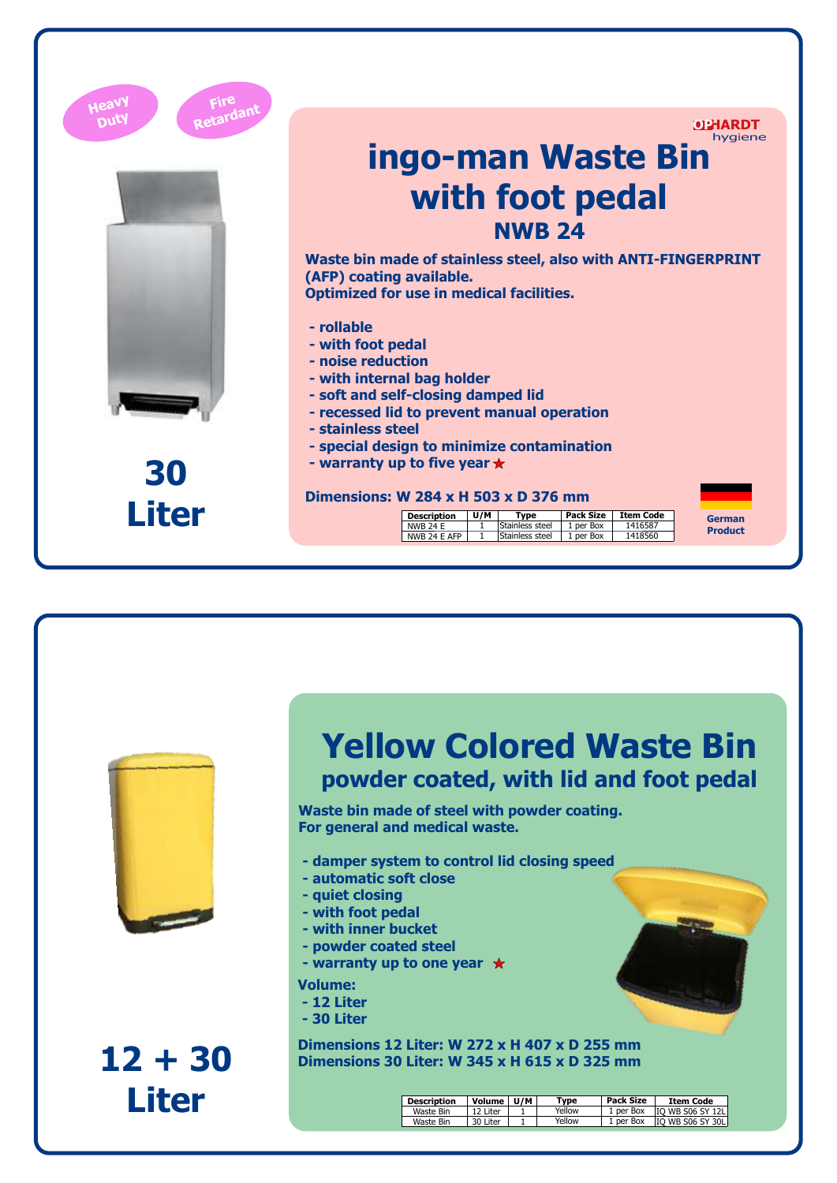| Heav         |                                                                                                                                                                                                                                                                 |  |  |  |  |  |
|--------------|-----------------------------------------------------------------------------------------------------------------------------------------------------------------------------------------------------------------------------------------------------------------|--|--|--|--|--|
|              | <b>OPHARDT</b><br>hygiene                                                                                                                                                                                                                                       |  |  |  |  |  |
|              | ingo-man Waste Bin                                                                                                                                                                                                                                              |  |  |  |  |  |
|              | with foot pedal                                                                                                                                                                                                                                                 |  |  |  |  |  |
|              | <b>NWB 24</b><br>Waste bin made of stainless steel, also with ANTI-FINGERPRINT<br>(AFP) coating available.<br><b>Optimized for use in medical facilities.</b>                                                                                                   |  |  |  |  |  |
|              |                                                                                                                                                                                                                                                                 |  |  |  |  |  |
|              | - rollable<br>- with foot pedal                                                                                                                                                                                                                                 |  |  |  |  |  |
|              | - noise reduction                                                                                                                                                                                                                                               |  |  |  |  |  |
|              | - with internal bag holder<br>- soft and self-closing damped lid<br>- recessed lid to prevent manual operation<br>- stainless steel<br>- special design to minimize contamination<br>- warranty up to five year $\star$<br>Dimensions: W 284 x H 503 x D 376 mm |  |  |  |  |  |
|              |                                                                                                                                                                                                                                                                 |  |  |  |  |  |
|              |                                                                                                                                                                                                                                                                 |  |  |  |  |  |
| 30           |                                                                                                                                                                                                                                                                 |  |  |  |  |  |
| <b>Liter</b> | <b>Pack Size</b><br>U/M<br>Type<br><b>Item Code</b><br><b>Description</b><br>German<br>Stainless steel<br>1 per Box<br><b>NWB 24 E</b><br>1416587<br>1<br><b>Product</b><br>Stainless steel<br>NWB 24 E AFP<br>$\mathbf{1}$<br>1 per Box<br>1418560             |  |  |  |  |  |



**12 + 30 Liter**

## **Yellow Colored Waste Bin powder coated, with lid and foot pedal**

**Waste bin made of steel with powder coating. For general and medical waste.**

- **damper system to control lid closing speed**
- **automatic soft close**
- **quiet closing**
- **with foot pedal**
- **with inner bucket**
- **powder coated steel**
- **warranty up to one year**
- **Volume:**
- **12 Liter**
- **30 Liter**

**Dimensions 12 Liter: W 272 x H 407 x D 255 mm Dimensions 30 Liter: W 345 x H 615 x D 325 mm**

| <b>Description</b> | Volume    | U/M | Tvpe   | Pack Size | <b>Item Code</b>        |
|--------------------|-----------|-----|--------|-----------|-------------------------|
| Waste Bin          | 12 I iter |     | Yellow | 1 per Box | <b>IO WB S06 SY 12L</b> |
| Waste Bin          | 30 Liter  |     | Yellow | 1 per Box | <b>IO WB S06 SY 30L</b> |